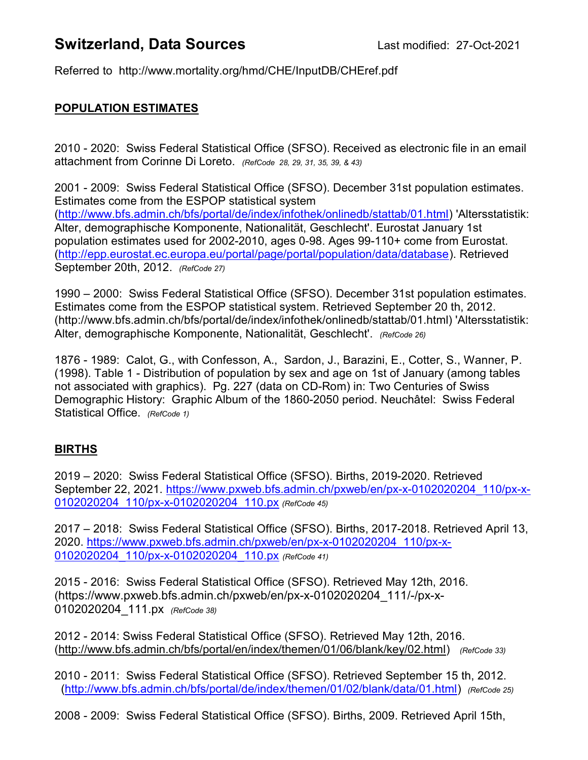# **Switzerland, Data Sources** Last modified: 27-Oct-2021

Referred to http://www.mortality.org/hmd/CHE/InputDB/CHEref.pdf

### POPULATION ESTIMATES

2010 - 2020: Swiss Federal Statistical Office (SFSO). Received as electronic file in an email attachment from Corinne Di Loreto. (RefCode 28, 29, 31, 35, 39, & 43)

2001 - 2009: Swiss Federal Statistical Office (SFSO). December 31st population estimates. Estimates come from the ESPOP statistical system (http://www.bfs.admin.ch/bfs/portal/de/index/infothek/onlinedb/stattab/01.html) 'Altersstatistik: Alter, demographische Komponente, Nationalität, Geschlecht'. Eurostat January 1st population estimates used for 2002-2010, ages 0-98. Ages 99-110+ come from Eurostat. (http://epp.eurostat.ec.europa.eu/portal/page/portal/population/data/database). Retrieved September 20th, 2012. (RefCode 27)

1990 – 2000: Swiss Federal Statistical Office (SFSO). December 31st population estimates. Estimates come from the ESPOP statistical system. Retrieved September 20 th, 2012. (http://www.bfs.admin.ch/bfs/portal/de/index/infothek/onlinedb/stattab/01.html) 'Altersstatistik: Alter, demographische Komponente, Nationalität, Geschlecht'. (RefCode 26)

1876 - 1989: Calot, G., with Confesson, A., Sardon, J., Barazini, E., Cotter, S., Wanner, P. (1998). Table 1 - Distribution of population by sex and age on 1st of January (among tables not associated with graphics). Pg. 227 (data on CD-Rom) in: Two Centuries of Swiss Demographic History: Graphic Album of the 1860-2050 period. Neuchâtel: Swiss Federal Statistical Office. (RefCode 1)

### BIRTHS

2019 – 2020: Swiss Federal Statistical Office (SFSO). Births, 2019-2020. Retrieved September 22, 2021. https://www.pxweb.bfs.admin.ch/pxweb/en/px-x-0102020204\_110/px-x-0102020204 110/px-x-0102020204 110.px (RefCode 45)

2017 – 2018: Swiss Federal Statistical Office (SFSO). Births, 2017-2018. Retrieved April 13, 2020. https://www.pxweb.bfs.admin.ch/pxweb/en/px-x-0102020204\_110/px-x-0102020204 110/px-x-0102020204 110.px (RefCode 41)

2015 - 2016: Swiss Federal Statistical Office (SFSO). Retrieved May 12th, 2016. (https://www.pxweb.bfs.admin.ch/pxweb/en/px-x-0102020204\_111/-/px-x-0102020204 111.px (RefCode 38)

2012 - 2014: Swiss Federal Statistical Office (SFSO). Retrieved May 12th, 2016. (http://www.bfs.admin.ch/bfs/portal/en/index/themen/01/06/blank/key/02.html) (RefCode 33)

2010 - 2011: Swiss Federal Statistical Office (SFSO). Retrieved September 15 th, 2012. (http://www.bfs.admin.ch/bfs/portal/de/index/themen/01/02/blank/data/01.html) (RefCode 25)

2008 - 2009: Swiss Federal Statistical Office (SFSO). Births, 2009. Retrieved April 15th,